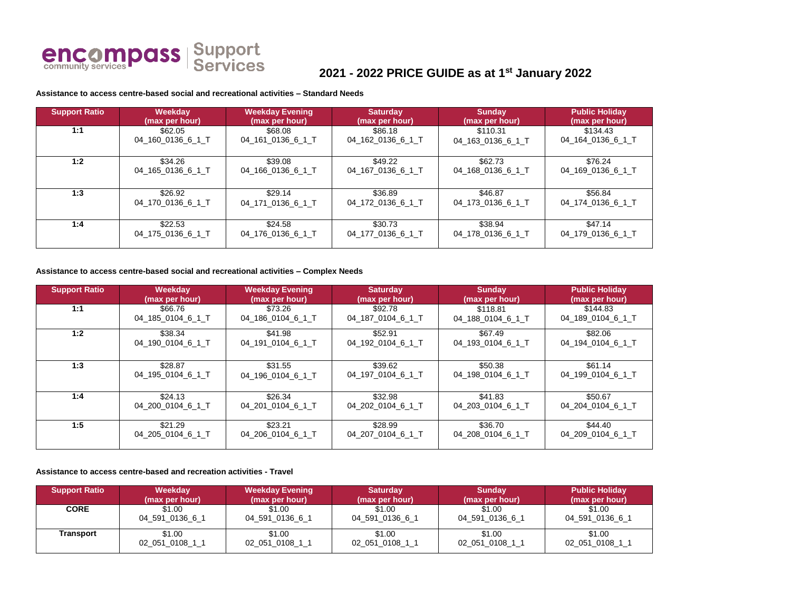

# **2021 - 2022 PRICE GUIDE as at 1st January 2022**

### **Assistance to access centre-based social and recreational activities – Standard Needs**

| <b>Support Ratio</b> | Weekday           | <b>Weekday Evening</b> | <b>Saturday</b>   | <b>Sunday</b>     | <b>Public Holiday</b> |
|----------------------|-------------------|------------------------|-------------------|-------------------|-----------------------|
|                      | (max per hour)    | (max per hour)         | (max per hour)    | (max per hour)    | (max per hour)        |
| 1:1                  | \$62.05           | \$68.08                | \$86.18           | \$110.31          | \$134.43              |
|                      | 04 160 0136 6 1 T | 04 161 0136 6 1 T      | 04_162_0136_6_1_T | 04_163_0136_6_1_T | 04 164 0136 6 1 T     |
| 1:2                  | \$34.26           | \$39.08                | \$49.22           | \$62.73           | \$76.24               |
|                      | 04_165_0136_6_1_T | 04_166_0136_6_1_T      | 04_167_0136_6_1_T | 04_168_0136_6_1_T | 04_169_0136_6_1_T     |
| 1:3                  | \$26.92           | \$29.14                | \$36.89           | \$46.87           | \$56.84               |
|                      | 04_170_0136_6_1_T | 04_171_0136_6_1_T      | 04 172 0136 6 1 T | 04 173 0136 6 1 T | 04_174_0136_6_1_T     |
| 1:4                  | \$22.53           | \$24.58                | \$30.73           | \$38.94           | \$47.14               |
|                      | 04_175_0136_6_1_T | 04 176 0136 6 1 T      | 04 177 0136 6 1 T | 04 178 0136 6 1 T | 04_179_0136_6_1_T     |

#### **Assistance to access centre-based social and recreational activities – Complex Needs**

| <b>Support Ratio</b> | Weekday           | <b>Weekday Evening</b> | <b>Saturday</b>   | <b>Sunday</b>     | <b>Public Holiday</b> |
|----------------------|-------------------|------------------------|-------------------|-------------------|-----------------------|
|                      | (max per hour)    | (max per hour)         | (max per hour)    | (max per hour)    | (max per hour)        |
| 1:1                  | \$66.76           | \$73.26                | \$92.78           | \$118.81          | \$144.83              |
|                      | 04 185 0104 6 1 T | 04 186 0104 6 1 T      | 04_187_0104_6_1_T | 04 188 0104 6 1 T | 04 189 0104 6 1 T     |
| 1:2                  | \$38.34           | \$41.98                | \$52.91           | \$67.49           | \$82.06               |
|                      | 04 190 0104 6 1 T | 04 191 0104 6 1 T      | 04 192 0104 6 1 T | 04 193 0104 6 1 T | 04_194_0104_6_1_T     |
| 1:3                  | \$28.87           | \$31.55                | \$39.62           | \$50.38           | \$61.14               |
|                      | 04_195_0104_6_1_T | 04 196 0104 6 1 T      | 04_197_0104_6_1_T | 04_198_0104_6_1_T | 04_199_0104_6_1_T     |
| 1:4                  | \$24.13           | \$26.34                | \$32.98           | \$41.83           | \$50.67               |
|                      | 04 200 0104 6 1 T | 04 201 0104 6 1T       | 04 202 0104 6 1 T | 04 203 0104 6 1 T | 04 204 0104 6 1 T     |
| 1:5                  | \$21.29           | \$23.21                | \$28.99           | \$36.70           | \$44.40               |
|                      | 04 205 0104 6 1 T | 04 206 0104 6 1T       | 04 207 0104 6 1 T | 04_208_0104_6_1_T | 04_209_0104_6_1_T     |

#### **Assistance to access centre-based and recreation activities - Travel**

| <b>Support Ratio</b> | Weekday         | <b>Weekday Evening</b> | <b>Saturday</b> | <b>Sunday</b>   | <b>Public Holiday</b> |
|----------------------|-----------------|------------------------|-----------------|-----------------|-----------------------|
|                      | (max per hour)  | (max per hour)         | (max per hour)  | (max per hour)  | (max per hour)        |
| <b>CORE</b>          | \$1.00          | \$1.00                 | \$1.00          | \$1.00          | \$1.00                |
|                      | 04 591 0136 6 1 | 04 591 0136 6 1        | 04 591 0136 6 1 | 04 591 0136 6 1 | 04 591 0136 6 1       |
| Transport            | \$1.00          | \$1.00                 | \$1.00          | \$1.00          | \$1.00                |
|                      | 02_051_0108_1_1 | 02 051 0108 11         | 02 051 0108 11  | 02_051_0108_1_1 | 02_051_0108_1_1       |